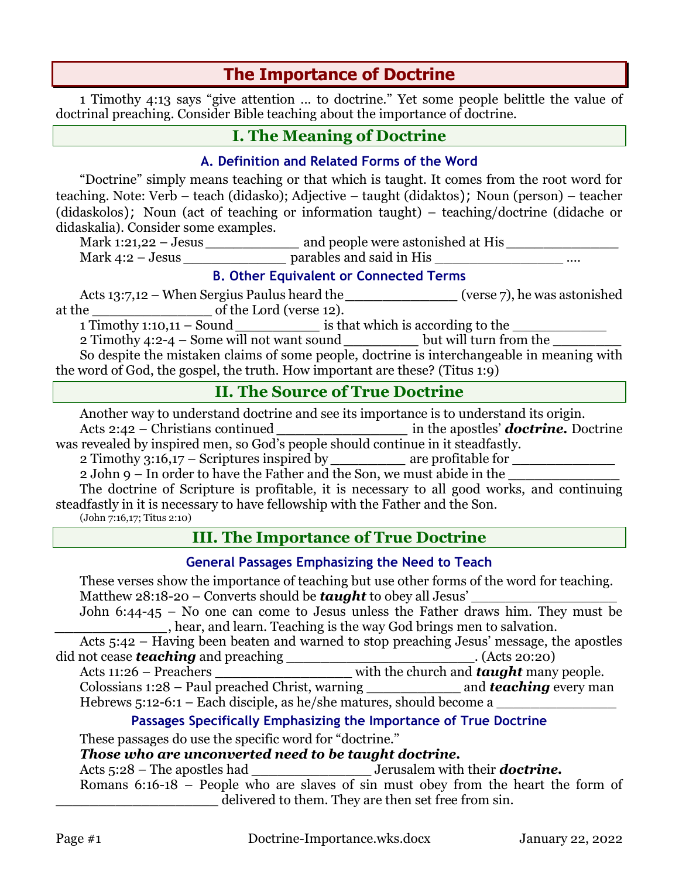# **The Importance of Doctrine**

1 Timothy 4:13 says "give attention ... to doctrine." Yet some people belittle the value of doctrinal preaching. Consider Bible teaching about the importance of doctrine.

# **I. The Meaning of Doctrine**

### **A. Definition and Related Forms of the Word**

"Doctrine" simply means teaching or that which is taught. It comes from the root word for teaching. Note: Verb – teach (didasko); Adjective – taught (didaktos); Noun (person) – teacher (didaskolos); Noun (act of teaching or information taught) – teaching/doctrine (didache or didaskalia). Consider some examples.

Mark 1:21,22 – Jesus *\_\_\_\_\_\_\_\_\_\_* and people were astonished at His *\_\_\_\_\_\_\_\_\_\_\_\_* Mark 4:2 – Jesus **a b parables** and said in His

#### **B. Other Equivalent or Connected Terms**

Acts 13:7,12 – When Sergius Paulus heard the *\_\_\_\_\_\_\_\_\_\_\_\_* (verse 7), he was astonished at the \_\_\_\_\_\_\_\_\_\_\_\_\_\_ of the Lord (verse 12).

1 Timothy 1:10,11 – Sound *a* is that which is according to the

2 Timothy 4:2-4 – Some will not want sound **but will turn from the** 

So despite the mistaken claims of some people, doctrine is interchangeable in meaning with the word of God, the gospel, the truth. How important are these? (Titus 1:9)

## **II. The Source of True Doctrine**

Another way to understand doctrine and see its importance is to understand its origin.

Acts 2:42 – Christians continued *\_\_\_\_\_\_\_\_\_\_\_\_\_\_* in the apostles' *doctrine.* Doctrine was revealed by inspired men, so God's people should continue in it steadfastly.

2 Timothy 3:16,17 – Scriptures inspired by \_\_\_\_\_\_\_\_\_\_\_ are profitable for \_\_\_\_\_\_\_\_\_\_\_\_\_

2 John 9 – In order to have the Father and the Son, we must abide in the

The doctrine of Scripture is profitable, it is necessary to all good works, and continuing steadfastly in it is necessary to have fellowship with the Father and the Son.

(John 7:16,17; Titus 2:10)

# **III. The Importance of True Doctrine**

### **General Passages Emphasizing the Need to Teach**

These verses show the importance of teaching but use other forms of the word for teaching. Matthew 28:18-20 – Converts should be *taught* to obey all Jesus'

John 6:44-45 – No one can come to Jesus unless the Father draws him. They must be **....**, hear, and learn. Teaching is the way God brings men to salvation.

Acts 5:42 – Having been beaten and warned to stop preaching Jesus' message, the apostles did not cease *teaching* and preaching \_\_\_\_\_\_\_\_\_\_\_\_\_\_\_\_\_\_\_\_\_\_\_\_\_\_. (Acts 20:20)

Acts 11:26 – Preachers **Exercise 2.1** with the church and *taught* many people. Colossians 1:28 – Paul preached Christ, warning \_\_\_\_\_\_\_\_\_\_\_ and *teaching* every man

Hebrews  $5:12-6:1$  – Each disciple, as he/she matures, should become a

### **Passages Specifically Emphasizing the Importance of True Doctrine**

These passages do use the specific word for "doctrine."

### *Those who are unconverted need to be taught doctrine.*

Acts 5:28 – The apostles had \_\_\_\_\_\_\_\_\_\_\_\_\_\_ Jerusalem with their *doctrine.*

Romans  $6:16-18$  – People who are slaves of sin must obey from the heart the form of delivered to them. They are then set free from sin.